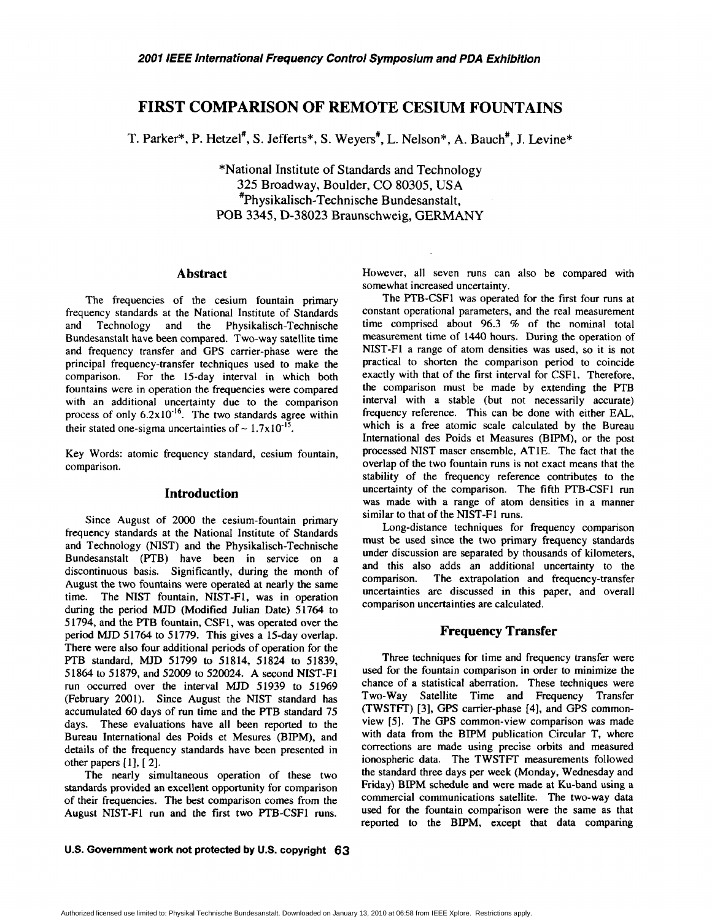# **FIRST COMPARISON OF REMOTE CESIUM FOUNTAINS**

**T.** Parker\*, P. Hetzel', S. Jefferts\*, S. Weyers', L. Nelson", A. Bauch', J. Levine\*

\*National Institute of Standards and Technology **325** Broadway, Boulder, **CO** 80305, USA \*Physikalisch-Technische Bundesanstalt, POB **3345, D-38023** Braunschweig, **GERMANY** 

## **Abstract**

The frequencies of the cesium fountain primary frequency standards at the National Institute of Standards and Technology and the Physikalisch-Technische Bundesanstalt have been compared. Two-way satellite time and frequency transfer and GPS carrier-phase were the principal frequency-transfer techniques used to make the comparison. For the 15-day interval in which both For the 15-day interval in which both fountains were in operation the frequencies were compared with an additional uncertainty due to the comparison process of only  $6.2 \times 10^{-16}$ . The two standards agree within their stated one-sigma uncertainties of  $\sim 1.7 \times 10^{-15}$ .

Key Words: atomic frequency standard, cesium fountain, comparison.

#### **Introduction**

Since August of 2000 the cesium-fountain primary frequency standards at the National Institute of Standards and Technology (NIST) and the Physikalisch-Technische Bundesanstalt (PTB) have been in service on a discontinuous basis. Significantly, during the month of August the two fountains were operated at nearly the same time. The NIST fountain, NIST-F1, was in operation during the period MJD (Modified Julian Date) 51764 to 51794, and the PTB fountain, CSFI, was operated over the period MJD 51764 to 51779. This gives a 15-day overlap. There were also four additional periods of operation for the PTB standard, MJD 51799 to 51814, **51824** to 51839, 51864 to 51879, and 52009 to 520024. A second NIST-FI run occurred over the interval MJD 51939 to 51969 (February **2001).** Since August the NIST standard has accumulated 60 days of run time and the PTB standard 75 days. These evaluations have all been reported to the Bureau International des Poids et Mesures (BIPM), and details of the frequency standards have been presented in other papers [1], [2].

The nearly simultaneous operation of these two standards provided an excellent opportunity for comparison of their frequencies. The **best** comparison comes from the August NIST-Fl run and the first two PTB-CSFI runs.

However, all seven runs can also be compared with somewhat increased uncertainty.

The PTB-CSF1 was operated for the first four runs at constant operational parameters, and the real measurement time comprised about 96.3 % of the nominal total measurement time of 1440 hours. During the operation of NIST-F1 a range of atom densities was used, so it is not practical to shorten the comparison period to coincide exactly with that of the first interval for **CSF1.** Therefore, the comparison must be made by extending the PTB interval with a stable (but not necessarily accurate) frequency reference. This can be done with either EAL, which is a **free** atomic scale calculated by the Bureau International des Poids et Measures (BIPM), or the post processed NIST maser ensemble, ATlE. The fact that the overlap of the two fountain runs is not exact means that the stability of the frequency reference contributes to the uncertainty of the comparison. The fifth PTB-CSF1 run was made with a range of atom densities in a manner similar to that of the NIST-Fl runs.

Long-distance techniques for frequency comparison must be used since the two primary frequency standards under discussion are separated by thousands of kilometers, and this also adds an additional uncertainty to the comparison. The extrapolation and frequency-transfer uncertainties are discussed in this paper, and overall comparison uncertainties are calculated.

#### **Frequency Transfer**

Three techniques for time and frequency transfer were used for the fountain comparison in order to minimize the chance of a statistical aberration. These techniques were Two-way Satellite Time and Frequency Transfer (TWSTR) [3], GPS carrier-phase [4], and GPS commonview *[5].* The GPS common-view comparison was made with data from the BIPM publication Circular T, where corrections are made using precise orbits and measured ionospheric data. The TWSTFT measurements followed the standard three days per week (Monday, Wednesday and Friday) **BIPM** schedule and were made at Ku-band using a commercial communications satellite. The two-way data used for the fountain comparison were the same as that reported to the BIPM, except that data comparing

U.S. Government work not protected by U.S. copyright 63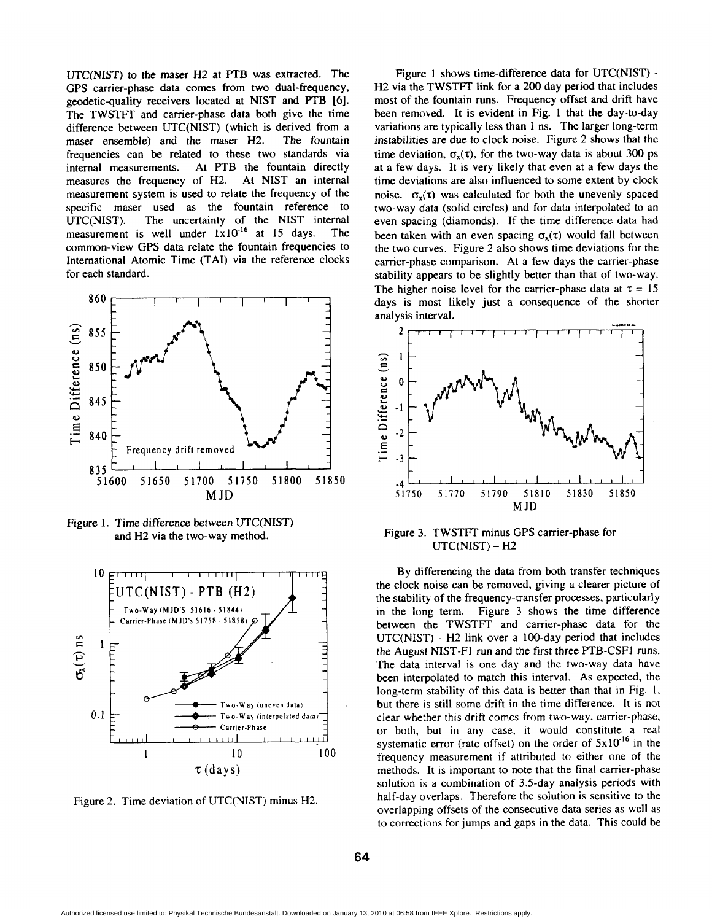UTC(N1ST) to the maser **H2** at **PTB** was extracted. The GPS carrier-phase data comes from two dual-frequency, geodetic-quality receivers located at NIST and PTB *[6].*  The TWSTFT and carrier-phase data both give the time difference between UTC(N1ST) (which is derived from a maser ensemble) and the maser **H2.** The fountain frequencies can be related to these two standards via internal measurements. At PTB the fountain directly measures the frequency of **H2.** At NIST an internal measurement system is used to relate the frequency of the specific maser used as the fountain reference to UTC(N1ST). The uncertainty of the NIST internal measurement is well under  $1 \times 10^{-16}$  at 15 days. The common-view GPS data relate the fountain frequencies to International Atomic Time (TAI) via the reference clocks for each standard.



Figure 1. Time difference between UTC(N1ST) and H2 via the two-way method.



Figure **2.** Time deviation of UTC(N1ST) minus H2.

Figure 1 shows time-difference data for UTC(NIST) -H2 via the TWSTFT link for a 200 day period that includes most of the fountain runs. Frequency offset and drift have been removed. It is evident in Fig. 1 that the day-to-day variations are typically less than 1 ns. The larger long-term instabilities are due to clock noise. Figure 2 shows that the time deviation,  $\sigma_{r}(\tau)$ , for the two-way data is about 300 ps at a few days. It is very likely that even at a few days the time deviations are also influenced to some extent by clock noise.  $\sigma_x(\tau)$  was calculated for both the unevenly spaced two-way data (solid circles) and for data interpolated to an even spacing (diamonds). If the time difference data had been taken with an even spacing  $\sigma_x(\tau)$  would fall between the two curves. Figure 2 also shows time deviations for the carrier-phase comparison. At a few days the carrier-phase stability appears to be slightly better than that of two-way. The higher noise level for the carrier-phase data at  $\tau = 15$ days is most likely just a consequence of the shorter analysis interval.



Figure 3. TWSTFT minus GPS carrier-phase for UTC(N1ST) - **H2** 

By differencing the data from both transfer techniques the clock noise can be removed, giving a clearer picture of the stability of the frequency-transfer processes, particularly in the long term. Figure **3** shows the time difference between the TWSTFT and carrier-phase data for the UTC(N1ST) - **H2** link over a 100-day period that includes the August NIST-FI run and the first three PTB-CSFI runs. The data interval is one day and the two-way data have been interpolated to match this interval. **As** expected, the long-term stability of this data is better than that in Fig. 1, but there is still some drift in the time difference. It is not clear whether this drift comes from two-way, carrier-phase, or both, but in any case, it would constitute a real systematic error (rate offset) on the order of  $5x10^{-16}$  in the frequency measurement if attributed to either one of the methods. It is important to note that the final carrier-phase solution is a combination of 3.5-day analysis periods with half-day overlaps. Therefore the solution is sensitive to the overlapping offsets of the consecutive data series as well as to corrections for jumps and gaps in the data. This could be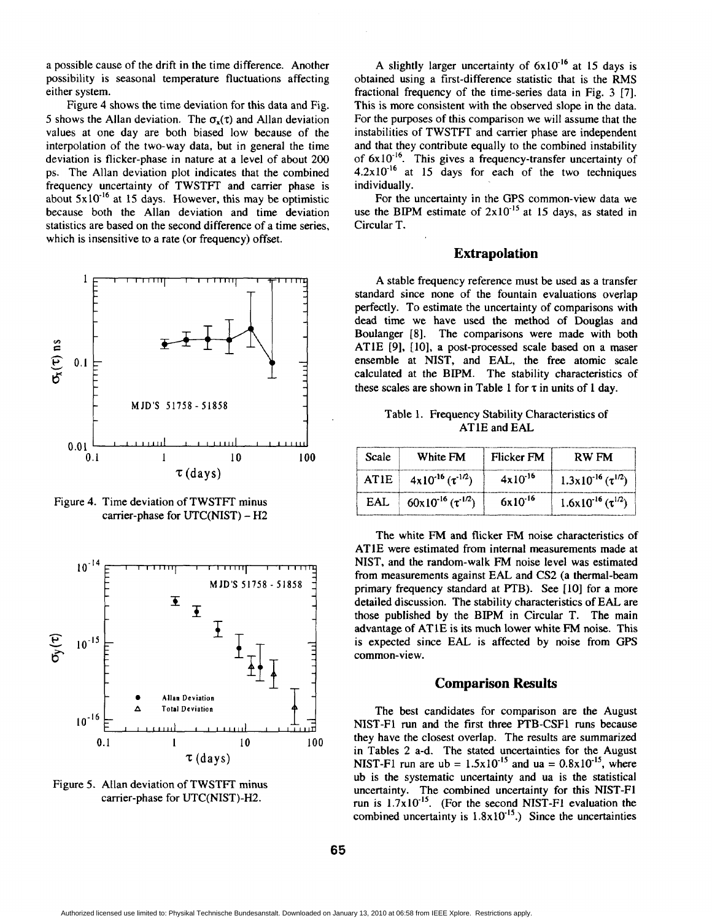a possible cause of the drift in the time difference. Another possibility is seasonal temperature fluctuations affecting either system.

Figure 4 shows the time deviation for this data and Fig. 5 shows the Allan deviation. The  $\sigma_x(\tau)$  and Allan deviation values at one day are both biased low because of the interpolation of the two-way data, but in general the time deviation is flicker-phase in nature at a level of about 200 ps. The Allan deviation plot indicates that the combined frequency uncertainty of TWSTFT and carrier phase is about  $5x10^{-16}$  at 15 days. However, this may be optimistic because both the Allan deviation and time deviation statistics are based on the second difference of a time series, which is insensitive to a rate (or frequency) offset.



Figure 4. Time deviation of TWSTFT minus carrier-phase for UTC(NIST) - H2



Figure 5. Allan deviation of TWSTFT minus carrier-phase for UTC(NIST)-H2.

A slightly larger uncertainty of  $6x10^{-16}$  at 15 days is obtained using a first-difference statistic that is the RMS fractional frequency of the time-series data in Fig. 3 [7]. This is more consistent with the observed slope in the data. For the purposes of this comparison we will assume that the instabilities of TWSTFT and carrier phase **are** independent and that they contribute equally to the combined instability of  $6x10^{-10}$ . This gives a frequency-transfer uncertainty of  $4.2 \times 10^{-16}$  at 15 days for each of the two techniques individually.

For the uncertainty in the GPS common-view data we use the BIPM estimate of  $2x10^{-15}$  at 15 days, as stated in Circular T.

# **Extrapolation**

A stable frequency reference must be used as a transfer standard since none of the fountain evaluations overlap perfectly. To estimate the uncertainty of comparisons with dead time we have used the method of Douglas and Boulanger **[8].** The comparisons were made with both ATlE **[9],** [lo], a post-processed scale based on a maser ensemble at NIST, and EAL, the free atomic scale calculated at the BIPM. The stability characteristics of these scales are shown in Table 1 for  $\tau$  in units of 1 day.

Table 1. Frequency Stability Characteristics of AT 1E and EAL

| Scale       | White FM                       | Flicker FM          | <b>RW FM</b>                           |
|-------------|--------------------------------|---------------------|----------------------------------------|
| <b>ATIE</b> | $4x10^{-16}$ $(\tau^{-1/2})$   | $4 \times 10^{-16}$ | $1.3x10^{-16}$ ( $\tau^{1/2}$ )        |
| <b>EAI</b>  | $60x10^{-16}$ ( $\tau^{1/2}$ ) | $6x10^{16}$         | $1.6 \times 10^{-16}$ ( $\tau^{1/2}$ ) |

The white FM and flicker FM noise characteristics of ATlE were estimated from internal measurements made at NIST, and the random-walk FM noise level was estimated from measurements against EAL and CS2 (a thermal-beam primary frequency standard at PTB). See [10] for a more detailed discussion. The stability characteristics of EAL are those published by the BIPM in Circular T. The main advantage of ATlE is its much lower white **FM** noise. This is expected since EAL is affected by noise from GPS common-view.

#### **Comparison Results**

The best candidates for comparison are the August NIST-Fl **run** and the first three FTB-CSF1 runs because they have the closest overlap. The results are summarized in Tables 2 a-d. The stated uncertainties for the August NIST-F1 run are  $ub = 1.5 \times 10^{-15}$  and  $ua = 0.8 \times 10^{-15}$ , where ub is the systematic uncertainty and ua is the statistical uncertainty. The combined uncertainty for this NIST-Fl run is  $1.7x10^{-15}$ . (For the second NIST-F1 evaluation the combined uncertainty is  $1.8 \times 10^{-15}$ .) Since the uncertainties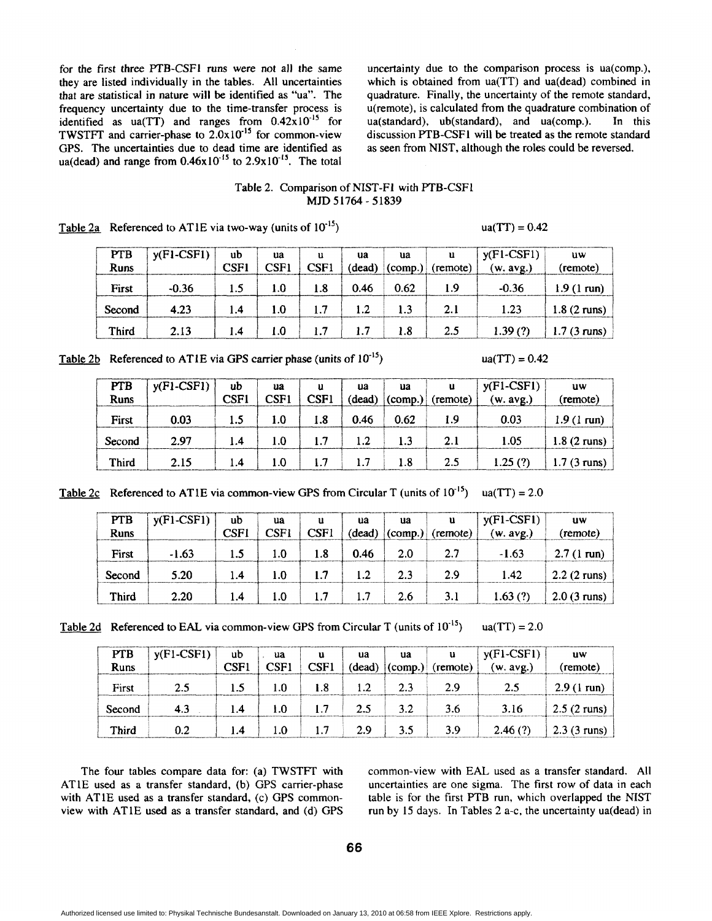for the first three PTB-CSFl runs were not all the same uncertainty due to the comparison process is ua(comp.), that are statistical in nature will be identified as "ua". The quadrature. Finally, the uncertainty of the remote standard, frequency uncertainty due to the time-transfer process is  $u$ (remote), is calculated from the quad GPS. The uncertainties due to dead time are identified as ua(dead) and range from  $0.46x10^{-15}$  to  $2.9x10^{-15}$ . The total

they are listed individually in the tables. All uncertainties which is obtained from ua(TT) and ua(dead) combined in that are statistical in nature will be identified as "ua". The quadrature. Finally, the uncertainty of th u(remote), is calculated from the quadrature combination of ua(standard), ub(standard), and ua(comp.). In this identified as ua(TT) and ranges from  $0.42 \times 10^{-15}$  for ua(standard), ub(standard), and ua(comp.). In this TWSTFT and carrier-phase to  $2.0 \times 10^{-15}$  for common-view discussion PTB-CSF1 will be treated as the remote stan discussion PTB-CSF1 will be treated as the remote standard as seen from NIST, although the roles could be reversed.

# Table 2. Comparison of NIST-FI with PTB-CSF1 **MJD** 51764 - 51839

| <b>PTB</b><br>Runs | $y(Fl-CSF1)$ | ub<br><b>CSF1</b> | ua<br>CSF1 | u<br>CSF1 | ua<br>(dead) | ua<br>$\text{(comp.)}$ | u.<br>(remote) | $ y(F1-CSF1) $<br>(w. avg.) | uw<br>(remote)        |
|--------------------|--------------|-------------------|------------|-----------|--------------|------------------------|----------------|-----------------------------|-----------------------|
| First              | $-0.36$      | 1.5               | 1.0        | 1.8       | 0.46         | 0.62                   | 1.9            | $-0.36$                     | $1.9(1 \text{ run})$  |
| Second             | 4.23         | 1.4               | 1.0        |           |              |                        | 2.1            | 1.23                        | $1.8(2 \text{ runs})$ |
| Third              | 2.13         | 1.4               | 1.0        |           |              | 1.8                    | 2.5            | 1.39(?)                     | 1.7 (3 runs)          |

Table 2a Referenced to AT1E via two-way (units of  $10^{-15}$ ) ua(TT) = 0.42

Table 2b Referenced to ATIE via GPS carrier phase (units of  $10^{-15}$ ) ua(TT) = 0.42

| <b>PTB</b><br><b>Runs</b> | $ y(F1-CSF)$ | ub<br><b>CSF1</b> | ua<br>CSF1 | u<br>CSF1 | ua<br>(dead) | ua   | $\mathbf{u}$<br>$ _{\text{(comp.)}} $ (remote) | $y(Fl-CSF1)$<br>(w. avg.) | uw<br>(remote)         |
|---------------------------|--------------|-------------------|------------|-----------|--------------|------|------------------------------------------------|---------------------------|------------------------|
| First                     | 0.03         | 1.5               | 1.0        | 1.8       | 0.46         | 0.62 | 1.9                                            | 0.03                      | $1.9(1 \text{ run})$   |
| Second                    | 2.97         | 1.4               | 1.0        | 1.7       | 1.2          | 1.3  | 2.1                                            | 1.05                      | $1.8(2 \text{ runs})$  |
| <b>Third</b>              | 2.15         | 1.4               | 1.0        | 1.7       | 1.7          | 1.8  | 2.5                                            | 1.25(?)                   | 1.7 $(3 \text{ runs})$ |

|  | Table 2c Referenced to AT1E via common-view GPS from Circular T (units of $10^{-15}$ ) ua(TT) = 2.0 |  |
|--|-----------------------------------------------------------------------------------------------------|--|
|--|-----------------------------------------------------------------------------------------------------|--|

| <b>PTB</b><br><b>Runs</b> | $y$ (F1-CSF1) | ub<br><b>CSF1</b> | ua<br>CSF1 | u<br>CSF1 | ua<br>(dead) | $\mathbf{u}$ a<br>$ (\text{comp.}) $ | u.<br>(remote) | $y$ (F1-CSF1)<br>(w. avg.) | uw<br>(remote)        |
|---------------------------|---------------|-------------------|------------|-----------|--------------|--------------------------------------|----------------|----------------------------|-----------------------|
| First                     | $-1.63$       | 1.5               | 1.0        | 1.8       | 0.46         | 2.0                                  | 2.7            | $-1.63$                    | $2.7(1 \text{ run})$  |
| Second                    | 5.20          | 1.4               | LO.        |           |              | 2.3                                  | 2.9            | 1.42                       | $2.2$ (2 runs)        |
| Third                     | 2.20          | 1.4               | 1.0        |           |              | 2.6                                  | 3.1            | 1.63(?)                    | $2.0(3 \text{ runs})$ |

|  | Table 2d Referenced to EAL via common-view GPS from Circular T (units of $10^{-15}$ ) |  |  |  |  | $ua(TT) = 2.0$ |
|--|---------------------------------------------------------------------------------------|--|--|--|--|----------------|
|--|---------------------------------------------------------------------------------------|--|--|--|--|----------------|

| <b>PTB</b><br>Runs | $y$ (F1-CSF1) | ub<br><b>CSF1</b> | ua<br>CSF1 | u<br>CSF1 | ua  | ua<br>$(dead)$ $(comp.)$ | u<br>(remote) | $y$ (F1-CSF1)<br>(w. avg.) | uw<br>(remote)        |
|--------------------|---------------|-------------------|------------|-----------|-----|--------------------------|---------------|----------------------------|-----------------------|
| First              | 2.5           | 1.5               | 1.0        | 1.8       | 1.2 | 2.3                      | 2.9           | 2.5                        | $2.9(1 \text{ run})$  |
| Second             | 4.3           | 1.4               | 1.0        | 1.7       | 2.5 | 3.2                      | 3.6           | 3.16                       | $2.5(2 \text{ runs})$ |
| Third              | 0.2           | 1.4               | 1.0        | 1.7       | 2.9 | 3.5                      | 3.9           | 2.46(?)                    | $2.3$ (3 runs)        |

The four tables compare data for: (a) TWSTFT with ATlE used as a transfer standard, (b) GPS carrier-phase with ATlE used as a transfer standard, (c) GPS commonview with ATlE used as a transfer standard, and (d) GPS common-view with EAL used as a transfer standard. All uncertainties are one sigma. The first row of data in each table is for the first PTB run, which overlapped the NIST run by 15 days. In Tables 2 a-c, the uncertainty ua(dead) in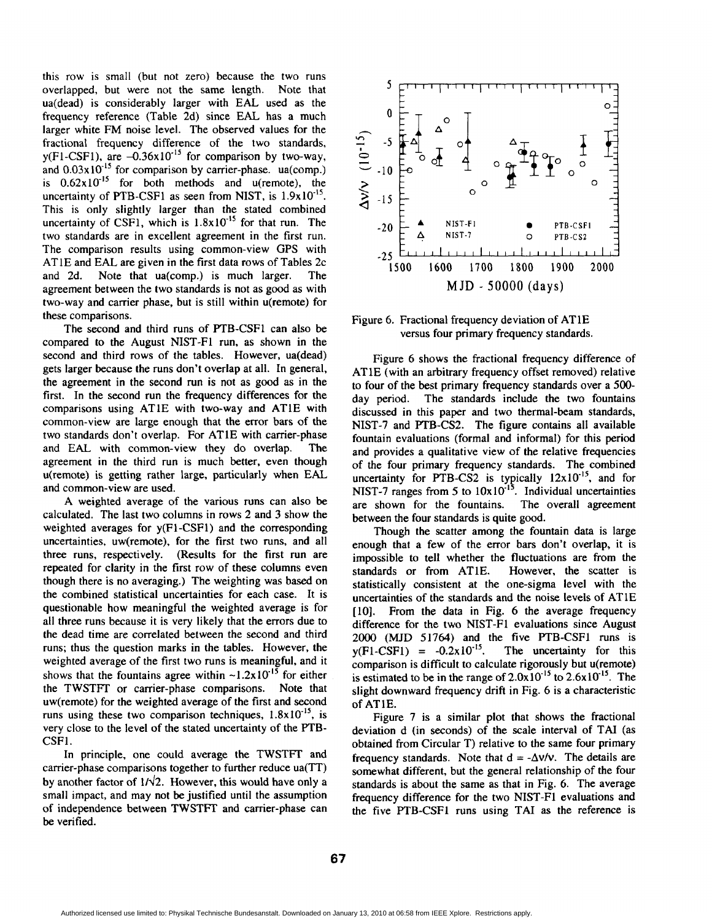this row is small (but not zero) because the two runs overlapped, but were not the same length. Note that ua(dead) is considerably larger with EAL used as the frequency reference (Table 2d) since EAL has a much larger white FM noise level. The observed values for the fractional frequency difference of the two standards,  $y(F1-CSF1)$ , are  $-0.36x10^{-15}$  for comparison by two-way, and 0.03x10<sup>-15</sup> for comparison by carrier-phase. ua(comp.) is  $0.62 \times 10^{-15}$  for both methods and u(remote), the uncertainty of PTB-CSF1 as seen from NIST, is  $1.9 \times 10^{-15}$ . This is only slightly larger than the stated combined uncertainty of CSF1, which is  $1.8\times10^{-15}$  for that run. The two standards are in excellent agreement in the first run. The comparison results using common-view GPS with ATlE and EAL. are given in the first data rows of Tables 2c and 2d. Note that ua(comp.) is much larger. The agreement between the two standards is not as good as with two-way and carrier phase, but is still within u(remote) for these comparisons.

The second and third runs of PTB-CSF1 can also be compared to the August NIST-F1 run, as shown in the second and third rows of the tables. However, ua(dead) gets larger because the runs don't overlap at all. In general, the agreement in the second run is not as good as in the first. In the second run the frequency differences for the comparisons using ATlE with two-way and ATlE with common-view are large enough that the error bars of the two standards don't overlap. For ATlE with carrier-phase and EAL with common-view they do overlap. The agreement in the third run is much better, even though u(remote) is getting rather large, particularly when EAL and common-view are used.

A weighted average of the various runs can also be calculated. The last two columns in rows 2 and 3 show the weighted averages for y(F1-CSF1) and the corresponding uncertainties, uw(remote), for the first two runs, and all three runs, respectively. (Results for the first run are repeated for clarity in the first row of these columns even though there is no averaging.) The weighting was based on the combined statistical uncertainties for each case. It is questionable how meaningful the weighted average is for all three runs because it is very likely that the errors due to the dead time are correlated between the second and third runs; thus the question marks in the tables. However, the weighted average of the first two runs is meaningful, and it shows that the fountains agree within  $\sim 1.2 \times 10^{-15}$  for either the TWSTFT or carrier-phase comparisons. Note that uw(remote) for the weighted average of the first and second runs using these two comparison techniques,  $1.8 \times 10^{-15}$ , is very close to the level of the stated uncertainty of the **PTB-**CSFl.

In principle, one could average the TWSTFT and carrier-phase comparisons together to further reduce ua(TT) by another factor of  $1/\sqrt{2}$ . However, this would have only a small impact, and may not be justified until the assumption of independence between TWSTFT and carrier-phase can be verified.



Figure 6. Fractional frequency deviation of AT 1E versus four primary frequency standards.

Figure 6 shows the fractional frequency difference of ATlE (with an arbitrary frequency offset removed) relative to four of the best primary frequency standards over a **500**  day period. The standards include the two fountains discussed in this paper and two thermal-beam standards, NIST-7 and PTB-CS2. The figure contains all available fountain evaluations (formal and informal) for this period and provides a qualitative view of the relative frequencies of the four primary frequency standards. The combined uncertainty for PTB-CS2 is typically  $12x10^{-15}$ , and for NIST-7 ranges from 5 to  $10x10^{-15}$ . Individual uncertainties are shown for the fountains. The overall agreement between the four standards is quite good.

Though the scatter among the fountain data is large enough that a few of the error bars don't overlap, it is impossible to tell whether the fluctuations are from the standards or from ATlE. However, the scatter is statistically consistent at the one-sigma level with the uncertainties of the standards and the noise levels of ATlE [lo]. From the data in Fig. 6 the average frequency difference for the two NIST-F1 evaluations since August 2000 (MJD 51764) and the five PTB-CSF1 runs is  $y(F1-CSF1) = -0.2x10^{-15}$ . The uncertainty for this comparison is difficult to calculate rigorously but u(remote) is estimated to be in the range of  $2.0x10^{15}$  to  $2.6x10^{15}$ . The slight downward frequency drift in Fig. 6 is a characteristic of ATlE.

Figure 7 is a similar plot that shows the fractional deviation d (in seconds) of the scale interval of TAI (as obtained from Circular T) relative to the same four primary frequency standards. Note that  $d = -\Delta v/v$ . The details are somewhat different, but the general relationship of the four standards is about the same as that in Fig. 6. The average frequency difference for the two NIST-F1 evaluations and the five FTB-CSFI runs using TAI **as** the reference is